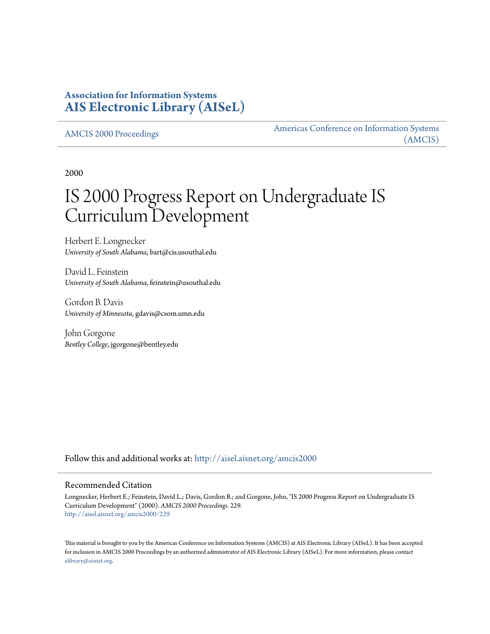# **Association for Information Systems [AIS Electronic Library \(AISeL\)](http://aisel.aisnet.org?utm_source=aisel.aisnet.org%2Famcis2000%2F229&utm_medium=PDF&utm_campaign=PDFCoverPages)**

[AMCIS 2000 Proceedings](http://aisel.aisnet.org/amcis2000?utm_source=aisel.aisnet.org%2Famcis2000%2F229&utm_medium=PDF&utm_campaign=PDFCoverPages)

[Americas Conference on Information Systems](http://aisel.aisnet.org/amcis?utm_source=aisel.aisnet.org%2Famcis2000%2F229&utm_medium=PDF&utm_campaign=PDFCoverPages) [\(AMCIS\)](http://aisel.aisnet.org/amcis?utm_source=aisel.aisnet.org%2Famcis2000%2F229&utm_medium=PDF&utm_campaign=PDFCoverPages)

2000

# IS 2000 Progress Report on Undergraduate IS Curriculum Development

Herbert E. Longnecker *University of South Alabama*, bart@cis.usouthal.edu

David L. Feinstein *University of South Alabama*, feinstein@usouthal.edu

Gordon B. Davis *University of Minnesota*, gdavis@csom.umn.edu

John Gorgone *Bentley College*, jgorgone@bentley.edu

Follow this and additional works at: [http://aisel.aisnet.org/amcis2000](http://aisel.aisnet.org/amcis2000?utm_source=aisel.aisnet.org%2Famcis2000%2F229&utm_medium=PDF&utm_campaign=PDFCoverPages)

#### Recommended Citation

Longnecker, Herbert E.; Feinstein, David L.; Davis, Gordon B.; and Gorgone, John, "IS 2000 Progress Report on Undergraduate IS Curriculum Development" (2000). *AMCIS 2000 Proceedings*. 229. [http://aisel.aisnet.org/amcis2000/229](http://aisel.aisnet.org/amcis2000/229?utm_source=aisel.aisnet.org%2Famcis2000%2F229&utm_medium=PDF&utm_campaign=PDFCoverPages)

This material is brought to you by the Americas Conference on Information Systems (AMCIS) at AIS Electronic Library (AISeL). It has been accepted for inclusion in AMCIS 2000 Proceedings by an authorized administrator of AIS Electronic Library (AISeL). For more information, please contact [elibrary@aisnet.org.](mailto:elibrary@aisnet.org%3E)